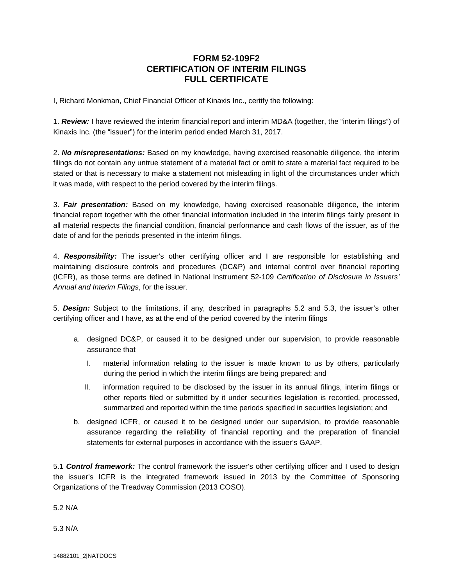## **FORM 52-109F2 CERTIFICATION OF INTERIM FILINGS FULL CERTIFICATE**

I, Richard Monkman, Chief Financial Officer of Kinaxis Inc., certify the following:

1. *Review:* I have reviewed the interim financial report and interim MD&A (together, the "interim filings") of Kinaxis Inc. (the "issuer") for the interim period ended March 31, 2017.

2. *No misrepresentations:* Based on my knowledge, having exercised reasonable diligence, the interim filings do not contain any untrue statement of a material fact or omit to state a material fact required to be stated or that is necessary to make a statement not misleading in light of the circumstances under which it was made, with respect to the period covered by the interim filings.

3. *Fair presentation:* Based on my knowledge, having exercised reasonable diligence, the interim financial report together with the other financial information included in the interim filings fairly present in all material respects the financial condition, financial performance and cash flows of the issuer, as of the date of and for the periods presented in the interim filings.

4. *Responsibility:* The issuer's other certifying officer and I are responsible for establishing and maintaining disclosure controls and procedures (DC&P) and internal control over financial reporting (ICFR), as those terms are defined in National Instrument 52-109 *Certification of Disclosure in Issuers' Annual and Interim Filings*, for the issuer.

5. *Design:* Subject to the limitations, if any, described in paragraphs 5.2 and 5.3, the issuer's other certifying officer and I have, as at the end of the period covered by the interim filings

- a. designed DC&P, or caused it to be designed under our supervision, to provide reasonable assurance that
	- I. material information relating to the issuer is made known to us by others, particularly during the period in which the interim filings are being prepared; and
	- II. information required to be disclosed by the issuer in its annual filings, interim filings or other reports filed or submitted by it under securities legislation is recorded, processed, summarized and reported within the time periods specified in securities legislation; and
- b. designed ICFR, or caused it to be designed under our supervision, to provide reasonable assurance regarding the reliability of financial reporting and the preparation of financial statements for external purposes in accordance with the issuer's GAAP.

5.1 *Control framework:* The control framework the issuer's other certifying officer and I used to design the issuer's ICFR is the integrated framework issued in 2013 by the Committee of Sponsoring Organizations of the Treadway Commission (2013 COSO).

5.2 N/A

5.3 N/A